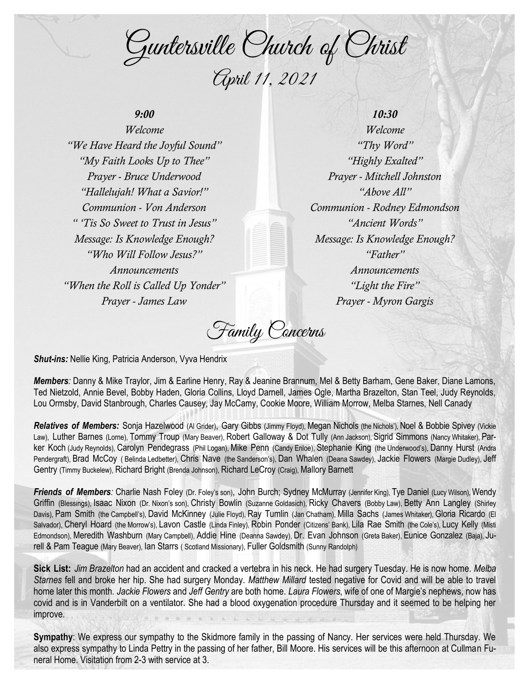Guntersville Church of Christ April 11, 2021

# *9:00*

*Welcome "We Have Heard the Joyful Sound" "My Faith Looks Up to Thee" Prayer - Bruce Underwood "Hallelujah! What a Savior!" Communion - Von Anderson " 'Tis So Sweet to Trust in Jesus" Message: Is Knowledge Enough? "Who Will Follow Jesus?" Announcements "When the Roll is Called Up Yonder" Prayer - James Law*

*10:30 Welcome "Thy Word" "Highly Exalted" Prayer - Mitchell Johnston "Above All" Communion - Rodney Edmondson "Ancient Words" Message: Is Knowledge Enough? "Father" Announcements "Light the Fire" Prayer - Myron Gargis*

Family Concerns

*Shut-ins:* Nellie King, Patricia Anderson, Vyva Hendrix

*Members:* Danny & Mike Traylor, Jim & Earline Henry, Ray & Jeanine Brannum, Mel & Betty Barham, Gene Baker, Diane Lamons, Ted Nietzold, Annie Bevel, Bobby Haden, Gloria Collins, Lloyd Darnell, James Ogle, Martha Brazelton, Stan Teel, Judy Reynolds, Lou Ormsby, David Stanbrough, Charles Causey, Jay McCamy, Cookie Moore, William Morrow, Melba Starnes, Nell Canady

*Relatives of Members:* Sonja Hazelwood (Al Grider), Gary Gibbs (Jimmy Floyd), Megan Nichols (the Nichols'), Noel & Bobbie Spivey (Vickie Law), Luther Barnes (Lorne), Tommy Troup (Mary Beaver), Robert Galloway & Dot Tully (Ann Jackson), Sigrid Simmons (Nancy Whitaker), Parker Koch (Judy Reynolds), Carolyn Pendegrass (Phil Logan), Mike Penn (Candy Enloe), Stephanie King (the Underwood's), Danny Hurst (Andra Pendergraft), Brad McCoy ( Belinda Ledbetter), Chris Nave (the Sanderson's), Dan Whalen (Deana Sawdey), Jackie Flowers (Margie Dudley), Jeff Gentry (Timmy Buckelew), Richard Bright (Brenda Johnson), Richard LeCroy (Craig), Mallory Barnett

**Friends of Members**: Charlie Nash Foley (Dr. Foley's son), John Burch; Sydney McMurray (Jennifer King), Tye Daniel (Lucy Wilson), Wendy Griffin (Blessings), Isaac Nixon (Dr. Nixon's son), Christy Bowlin (Suzanne Goldasich), Ricky Chavers (Bobby Law), Betty Ann Langley (Shirley Davis), Pam Smith (the Campbell's), David McKinney (Julie Floyd), Ray Tumlin (Jan Chatham), Milla Sachs (James Whitaker), Gloria Ricardo (El Salvador), Cheryl Hoard (the Morrow's), Lavon Castle (Linda Finley), Robin Ponder (Citizens' Bank), Lila Rae Smith (the Cole's), Lucy Kelly (Misti Edmondson), Meredith Washburn (Mary Campbell), Addie Hine (Deanna Sawdey), Dr. Evan Johnson (Greta Baker), Eunice Gonzalez (Baja), Jurell & Pam Teague (Mary Beaver), Ian Starrs ( Scotland Missionary), Fuller Goldsmith (Sunny Randolph)

**Sick List:** *Jim Brazelton* had an accident and cracked a vertebra in his neck. He had surgery Tuesday. He is now home. *Melba Starnes* fell and broke her hip. She had surgery Monday. *Matthew Millard* tested negative for Covid and will be able to travel home later this month. *Jackie Flowers* and *Jeff Gentry* are both home. *Laura Flowers*, wife of one of Margie's nephews, now has covid and is in Vanderbilt on a ventilator. She had a blood oxygenation procedure Thursday and it seemed to be helping her improve.

**Sympathy**: We express our sympathy to the Skidmore family in the passing of Nancy. Her services were held Thursday. We also express sympathy to Linda Pettry in the passing of her father, Bill Moore. His services will be this afternoon at Cullman Funeral Home. Visitation from 2-3 with service at 3.